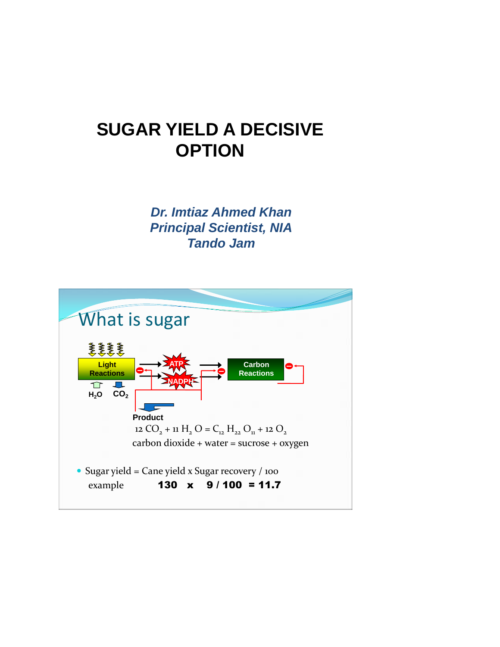## **SUGAR YIELD A DECISIVE OPTION**

*Dr. Imtiaz Ahmed Khan Principal Scientist, NIA Tando Jam*

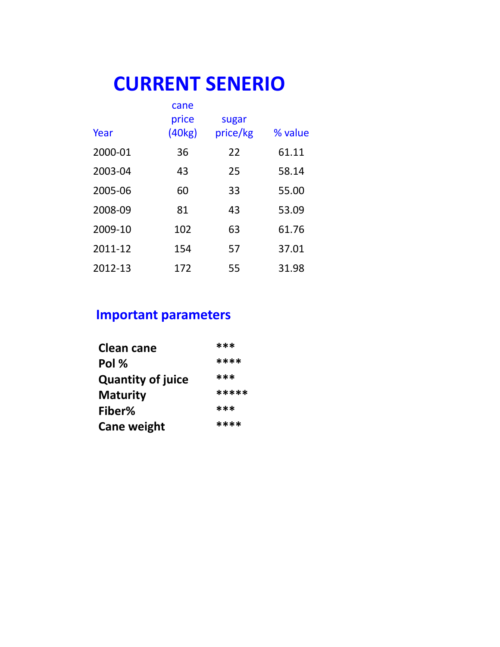## **CURRENT SENERIO**

|         | cane<br>price | sugar    |         |
|---------|---------------|----------|---------|
| Year    | (40kg)        | price/kg | % value |
| 2000-01 | 36            | 22       | 61.11   |
| 2003-04 | 43            | 25       | 58.14   |
| 2005-06 | 60            | 33       | 55.00   |
| 2008-09 | 81            | 43       | 53.09   |
| 2009-10 | 102           | 63       | 61.76   |
| 2011-12 | 154           | 57       | 37.01   |
| 2012-13 | 172           | 55       | 31.98   |

## **Important parameters**

| <b>Clean cane</b>        | ***   |  |
|--------------------------|-------|--|
| Pol %                    | ****  |  |
| <b>Quantity of juice</b> | ***   |  |
| <b>Maturity</b>          | ***** |  |
| Fiber%                   | ***   |  |
| <b>Cane weight</b>       | ****  |  |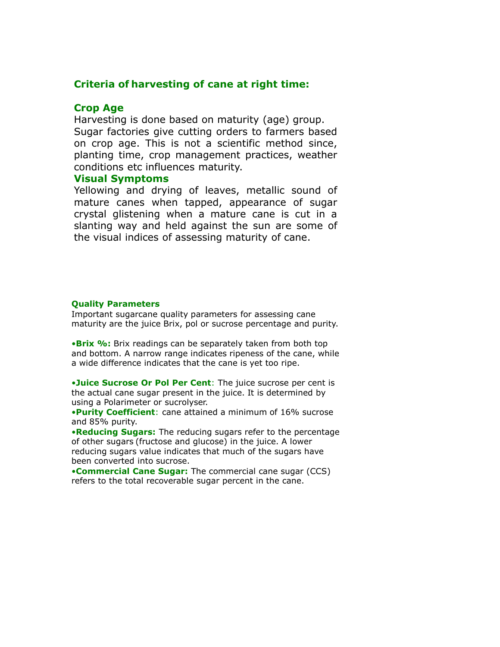#### **Criteria of harvesting of cane at right time:**

#### **Crop Age**

Harvesting is done based on maturity (age) group. Sugar factories give cutting orders to farmers based on crop age. This is not a scientific method since, planting time, crop management practices, weather conditions etc influences maturity.

#### **Visual Symptoms**

Yellowing and drying of leaves, metallic sound of mature canes when tapped, appearance of sugar crystal glistening when a mature cane is cut in a slanting way and held against the sun are some of the visual indices of assessing maturity of cane.

#### **Quality Parameters**

Important sugarcane quality parameters for assessing cane maturity are the juice Brix, pol or sucrose percentage and purity.

•**Brix %:** Brix readings can be separately taken from both top and bottom. A narrow range indicates ripeness of the cane, while a wide difference indicates that the cane is yet too ripe.

•**Juice Sucrose Or Pol Per Cent**: The juice sucrose per cent is the actual cane sugar present in the juice. It is determined by using a Polarimeter or sucrolyser.

•**Purity Coefficient**: cane attained a minimum of 16% sucrose and 85% purity.

•**Reducing Sugars:** The reducing sugars refer to the percentage of other sugars (fructose and glucose) in the juice. A lower reducing sugars value indicates that much of the sugars have been converted into sucrose.

•**Commercial Cane Sugar:** The commercial cane sugar (CCS) refers to the total recoverable sugar percent in the cane.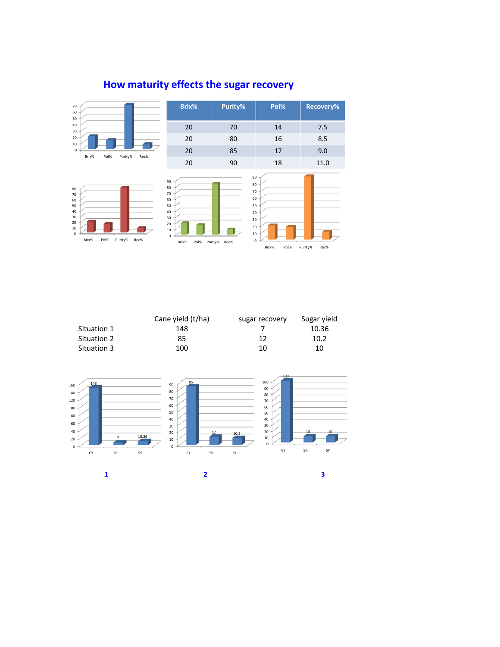

### **How maturity effects the sugar recovery**

|                    | Cane yield (t/ha) | sugar recovery | Sugar yield |
|--------------------|-------------------|----------------|-------------|
| Situation 1        | 148               |                | 10.36       |
| <b>Situation 2</b> | 85                | 12             | 10.2        |
| Situation 3        | 100               | 10             | 10          |